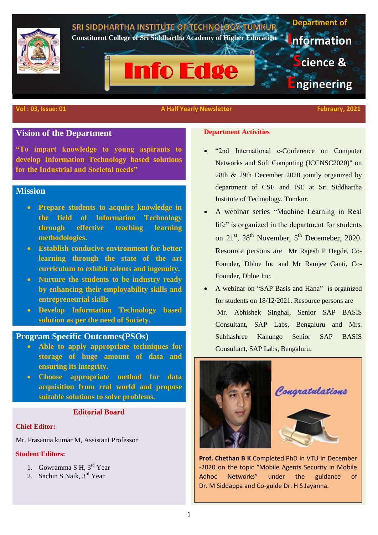

# **Vision of the Department**

**"To impart knowledge to young aspirants to develop Information Technology based solutions for the Industrial and Societal needs"**

# **Mission**

- **Prepare students to acquire knowledge in the field of Information Technology through effective teaching learning methodologies.**
- **Establish conducive environment for better learning through the state of the art curriculum to exhibit talents and ingenuity.**
- **Nurture the students to be industry ready by enhancing their employability skills and entrepreneurial skills**
- **Develop Information Technology based solution as per the need of Society.**

## **Program Specific Outcomes(PSOs)**

- **Able to apply appropriate techniques for storage of huge amount of data and ensuring its integrity.**
- **Choose appropriate method for data acquisition from real world and propose suitable solutions to solve problems.**

## **Editorial Board**

### **Chief Editor:**

Mr. Prasanna kumar M, Assistant Professor

## **Student Editors:**

- 1. Gowramma S H, 3<sup>rd</sup> Year
- 2. Sachin S Naik, 3<sup>rd</sup> Year

## **Department Activities**

- "2nd International e-Conference on Computer Networks and Soft Computing (ICCNSC2020)" on 28th & 29th December 2020 jointly organized by department of CSE and ISE at Sri Siddhartha Institute of Technology, Tumkur.
- A webinar series "Machine Learning in Real life" is organized in the department for students on 21<sup>st</sup>, 28<sup>th</sup> November, 5<sup>th</sup> Decemeber, 2020. Resource persons are Mr Rajesh P Hegde, Co-Founder, Dblue Inc and Mr Ramjee Ganti, Co-Founder, Dblue Inc.
- A webinar on "SAP Basis and Hana" is organized for students on 18/12/2021. Resource persons are Mr. Abhishek Singhal, Senior SAP BASIS Consultant, SAP Labs, Bengaluru and Mrs. Subhashree Kanungo Senior SAP BASIS Consultant, SAP Labs, Bengaluru.



**Prof. Chethan B K** Completed PhD in VTU in December -2020 on the topic "Mobile Agents Security in Mobile Adhoc Networks" under the guidance of Dr. M Siddappa and Co-guide Dr. H S Jayanna.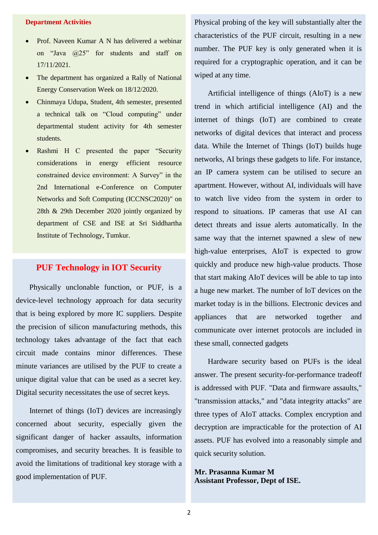## **Department Activities**

- Prof. Naveen Kumar A N has delivered a webinar on "Java @25" for students and staff on 17/11/2021.
- The department has organized a Rally of National Energy Conservation Week on 18/12/2020.
- Chinmaya Udupa, Student, 4th semester, presented a technical talk on "Cloud computing" under departmental student activity for 4th semester students.
- Rashmi H C presented the paper "Security considerations in energy efficient resource constrained device environment: A Survey" in the 2nd International e-Conference on Computer Networks and Soft Computing (ICCNSC2020)" on 28th & 29th December 2020 jointly organized by department of CSE and ISE at Sri Siddhartha Institute of Technology, Tumkur.

# **PUF Technology in IOT Security**

 Physically unclonable function, or PUF, is a device-level technology approach for data security that is being explored by more IC suppliers. Despite the precision of silicon manufacturing methods, this technology takes advantage of the fact that each circuit made contains minor differences. These minute variances are utilised by the PUF to create a unique digital value that can be used as a secret key. Digital security necessitates the use of secret keys.

 Internet of things (IoT) devices are increasingly concerned about security, especially given the significant danger of hacker assaults, information compromises, and security breaches. It is feasible to avoid the limitations of traditional key storage with a good implementation of PUF.

Physical probing of the key will substantially alter the characteristics of the PUF circuit, resulting in a new number. The PUF key is only generated when it is required for a cryptographic operation, and it can be wiped at any time.

 Artificial intelligence of things (AIoT) is a new trend in which artificial intelligence (AI) and the internet of things (IoT) are combined to create networks of digital devices that interact and process data. While the Internet of Things (IoT) builds huge networks, AI brings these gadgets to life. For instance, an IP camera system can be utilised to secure an apartment. However, without AI, individuals will have to watch live video from the system in order to respond to situations. IP cameras that use AI can detect threats and issue alerts automatically. In the same way that the internet spawned a slew of new high-value enterprises, AIoT is expected to grow quickly and produce new high-value products. Those that start making AIoT devices will be able to tap into a huge new market. The number of IoT devices on the market today is in the billions. Electronic devices and appliances that are networked together and communicate over internet protocols are included in these small, connected gadgets

 Hardware security based on PUFs is the ideal answer. The present security-for-performance tradeoff is addressed with PUF. "Data and firmware assaults," "transmission attacks," and "data integrity attacks" are three types of AIoT attacks. Complex encryption and decryption are impracticable for the protection of AI assets. PUF has evolved into a reasonably simple and quick security solution.

**Mr. Prasanna Kumar M Assistant Professor, Dept of ISE.**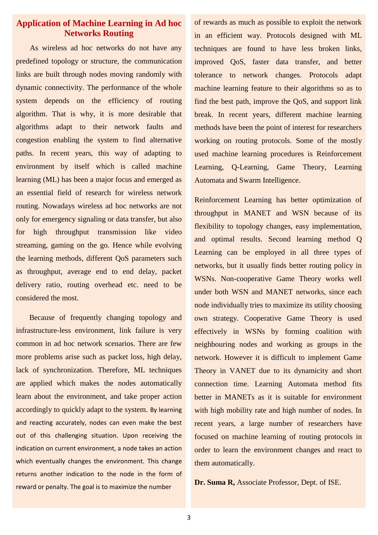# **Application of Machine Learning in Ad hoc Networks Routing**

 As wireless ad hoc networks do not have any predefined topology or structure, the communication links are built through nodes moving randomly with dynamic connectivity. The performance of the whole system depends on the efficiency of routing algorithm. That is why, it is more desirable that algorithms adapt to their network faults and congestion enabling the system to find alternative paths. In recent years, this way of adapting to environment by itself which is called machine learning (ML) has been a major focus and emerged as an essential field of research for wireless network routing. Nowadays wireless ad hoc networks are not only for emergency signaling or data transfer, but also for high throughput transmission like video streaming, gaming on the go. Hence while evolving the learning methods, different QoS parameters such as throughput, average end to end delay, packet delivery ratio, routing overhead etc. need to be considered the most.

 Because of frequently changing topology and infrastructure-less environment, link failure is very common in ad hoc network scenarios. There are few more problems arise such as packet loss, high delay, lack of synchronization. Therefore, ML techniques are applied which makes the nodes automatically learn about the environment, and take proper action accordingly to quickly adapt to the system. By learning and reacting accurately, nodes can even make the best out of this challenging situation. Upon receiving the indication on current environment, a node takes an action which eventually changes the environment. This change returns another indication to the node in the form of reward or penalty. The goal is to maximize the number

of rewards as much as possible to exploit the network in an efficient way. Protocols designed with ML techniques are found to have less broken links, improved QoS, faster data transfer, and better tolerance to network changes. Protocols adapt machine learning feature to their algorithms so as to find the best path, improve the QoS, and support link break. In recent years, different machine learning methods have been the point of interest for researchers working on routing protocols. Some of the mostly used machine learning procedures is Reinforcement Learning, Q-Learning, Game Theory, Learning Automata and Swarm Intelligence.

Reinforcement Learning has better optimization of throughput in MANET and WSN because of its flexibility to topology changes, easy implementation, and optimal results. Second learning method Q Learning can be employed in all three types of networks, but it usually finds better routing policy in WSNs. Non-cooperative Game Theory works well under both WSN and MANET networks, since each node individually tries to maximize its utility choosing own strategy. Cooperative Game Theory is used effectively in WSNs by forming coalition with neighbouring nodes and working as groups in the network. However it is difficult to implement Game Theory in VANET due to its dynamicity and short connection time. Learning Automata method fits better in MANETs as it is suitable for environment with high mobility rate and high number of nodes. In recent years, a large number of researchers have focused on machine learning of routing protocols in order to learn the environment changes and react to them automatically.

**Dr. Suma R,** Associate Professor, Dept. of ISE.